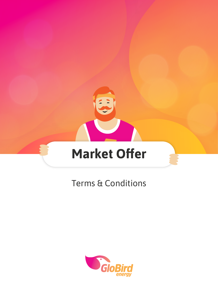

# Terms & Conditions

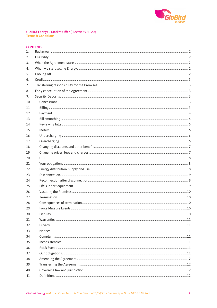

# **GloBird Energy - Market Offer (Electricity & Gas)**<br>Terms & Conditions

# **CONTENTS**

| 1.  |  |
|-----|--|
| 2.  |  |
| 3.  |  |
| 4.  |  |
| 5.  |  |
| 6.  |  |
| 7.  |  |
| 8.  |  |
| 9.  |  |
| 10. |  |
| 11. |  |
| 12. |  |
| 13. |  |
| 14. |  |
| 15. |  |
| 16. |  |
| 17. |  |
| 18. |  |
| 19. |  |
| 20. |  |
| 21. |  |
| 22. |  |
| 23. |  |
| 24. |  |
| 25. |  |
| 26. |  |
| 27. |  |
| 28. |  |
| 29. |  |
| 30. |  |
| 31. |  |
| 32. |  |
| 33. |  |
| 34. |  |
| 35. |  |
| 36. |  |
| 37. |  |
| 38. |  |
| 39. |  |
| 40. |  |
| 41. |  |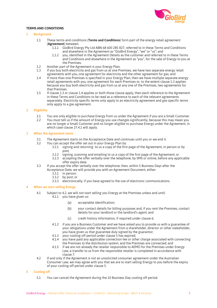

# **TERMS AND CONDITIONS**

# **1 Background**

- 1.1 These terms and conditions (**Terms and Conditions**) form part of the energy retail agreement (**Agreement**) between:
	- 1.1.1 GloBird Energy Pty Ltd ABN 68 600 285 827, referred to in these Terms and Conditions and elsewhere in the Agreement as "GloBird Energy", "we" or "us"; and
	- 1.1.2 you, identified in the Agreement Details as the customer and referred to in these Terms and Conditions and elsewhere in the Agreement as "you", for the sale of Energy to you at the Premises.
- 1.2 Another part of the Agreement is your Energy Plan.<br>1.3 If you buy both electricity and gas from us at one Pr
- If you buy both electricity and gas from us at one Premises, we have two separate energy retail agreements with you, one agreement for electricity and the other agreement for gas; and
- 1.4 If more than one Premises is specified in your Energy Plan, then we have multiple separate energy retail agreements with you, one agreement for each Premises or, to the extent clause 1.3 applies because you buy both electricity and gas from us at any one of the Premises, two agreements for that Premises.
- 1.5 If clause 1.3 or clause 1.4 applies or both those clause apply, then each reference to the Agreement in these Terms and Conditions to be read as a reference to each of the relevant agreements separately. Electricity-specific terms only apply to an electricity agreement and gas-specific terms only apply to a gas agreement.

# **2 Eligibility**

- 2.1 You are only eligible to purchase Energy from us under the Agreement if you are a Small Customer.
- 2.2 You must tell us if the amount of Energy you use changes significantly, because this may mean you are no longer a Small Customer and no longer eligible to purchase Energy under the Agreement, in which case clause 27.4.1 will apply.

# **3 When the Agreement starts**

- 3.1 The Agreement starts on the Acceptance Date and continues until you or we end it.<br>3.2 You can accept the offer set out in your Energy Plan by:
- You can accept the offer set out in your Energy Plan by:
	- 3.2.1 signing and returning to us a copy of the first page of the Agreement, in person or by post;
	- 3.2.2 signing, scanning and emailing to us a copy of the first page of the Agreement; or
	- accepting the offer verbally over the telephone, by SMS or online, before any applicable offer expiry date.
- 3.3 If you accept the offer verbally over the telephone, then, within 5 Business Days after the Acceptance Date, we will provide you with an Agreement Document, either:
	- 3.3.1 in person;
	- 3.3.2 by post; or
	- 3.3.3 electronically, if you have agreed to the use of electronic communications.

# **4 When we start selling Energy**

- 4.1 Subject to 4.2, we will not start selling you Energy at the Premises unless and until: 4.1.1 you have given us:
	- (a) acceptable identification;
	- (b) your contact details for billing purposes and, if you rent the Premises, contact details for your landlord or the landlord's agent; and
	- (c) credit history information, if required under clause 6;
	- 4.1.2 if you are a Business Customer and we have asked you to provide us with a guarantee of your obligations under the Agreement from a shareholder, director or other stakeholder, you have given us that guarantee duly signed by the guarantor;
	- 4.1.3 your cooling-off period under clause 5 has expired;
	- 4.1.4 you have paid any applicable connection fee or other charge associated with connecting the Premises to the distribution system, and the Premises are connected; and
	- 4.1.5 if we are not already the retailer responsible to AEMO for the Premises under Energy Law, a transfer to us from the responsible retailer is completed in accordance with clause 7.
- 4.2 If and only if the Agreement is not an unsolicited consumer agreement under the Australian Consumer Law, we may agree with you that we are to start selling Energy to you before the expiry of your cooling-off period under clause 5.

# **5 Cooling off**

5.1 You can cancel the Agreement during the 10 Business Day cooling off period.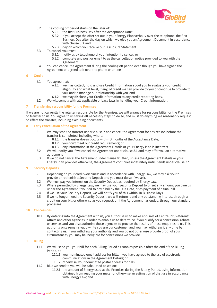

- 5.2 The cooling off period starts on the later of:
	- 5.2.1 the first Business Day after the Acceptance Date;
	- 5.2.2 if you accept the offer set out in your Energy Plan verbally over the telephone, the first Business Day after the day on which we give you an Agreement Document in accordance with clause 3.3; and
	- 5.2.3 day on which you receive our Disclosure Statement.
- 5.3 To cancel, you must:
	- 5.3.1 notify us by telephone of your intention to cancel; or
	- 5.3.2 complete and post or email to us the cancellation notice provided to you with the Agreement.
- 5.4 You can cancel the Agreement during the cooling off period even though you have signed the Agreement or agreed to it over the phone or online.

# **6 Credit**

- 6.1 You agree that:
	- 6.1.1 we may collect, hold and use Credit Information about you to evaluate your credit eligibility and what level, if any, of credit we can provide to you or continue to provide to you, and to manage our relationship with you, and
	- 6.1.2 we may disclose your Credit Information to any credit reporting body.
- 6.2 We will comply with all applicable privacy laws in handling your Credit Information.

# **7 Transferring responsibility for the Premises**

If we are not currently the retailer responsible for the Premises, we will arrange for responsibility for the Premises to transfer to us. You agree to us taking all necessary steps to do so, and must do anything we reasonably request to effect the transfer, including executing documents.

# **8 Early cancellation of the Agreement**

- 8.1 We may stop the transfer under clause 7 and cancel the Agreement for any reason before the transfer is completed, including where:
	- 8.1.1 the transfer doesn't occur within 3 months of the Acceptance Date;<br>8.1.2 vou don't meet our credit requirements: or
	- 8.1.2 you don't meet our credit requirements; or
	- 8.1.3 any information in the Agreement Details or your Energy Plan is incorrect.
- 8.2 We will notify you if we cancel the Agreement under clause 8.1 and may offer you an alternative agreement.
- 8.3 If we do not cancel the Agreement under clause 8.1 then, unless the Agreement Details or your Energy Plan provides otherwise, the Agreement continues indefinitely until it ends under clause 27.

# **9 Security Deposits**

- 9.1 Depending on your creditworthiness and in accordance with Energy Law, we may ask you to provide or replenish a Security Deposit and you must do so if we ask.
- 9.2 We must pay you interest on the Security Deposit as required by Energy Law.
- 9.3 Where permitted by Energy Law, we may use your Security Deposit to offset any amount you owe us under the Agreement if you fail to pay a bill by the Due Date, or as payment of a final bill.
- 9.4 If we use your Security Deposit, we will notify you of this within 10 Business Days.<br>9.5 If we no longer need the Security Deposit, we will return it and any outstanding in
- If we no longer need the Security Deposit, we will return it and any outstanding interest through a credit on your bill or otherwise as you request, or if the Agreement has ended, through our standard processes.

#### **10 Concessions**

10.1 By entering into the Agreement with us, you authorise us to make enquires of Centrelink, Veterans' Affairs and other agencies in order to enable us to determine if you qualify for a concession, rebate or service, and you also authorise those agencies to provide the results of those enquiries to us. This authority only remains valid while you are our customer, and you may withdraw it any time by contacting us. If you withdraw your authority and you do not otherwise provide proof of your circumstances, you may be ineligible for concessions we provide.

#### **11 Billing**

- 11.1 We will send you your bill for each Billing Period as soon as possible after the end of the Billing Period, at:
	- 11.1.1 your nominated email address for bills, if you have agreed to the use of electronic communications in the Agreement Details; or
	- 11.1.2 otherwise, your nominated postal address for bills.
- 11.2 Bills we send to you will be calculated based on:
	- 11.2.1 the amount of Energy used at the Premises during the Billing Period, using information obtained from reading your meter or otherwise an estimation of that use in accordance with Energy Law; and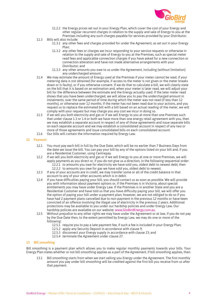

- 11.2.2 the Energy prices set out in your Energy Plan, which cover the cost of your Energy and other regular recurrent charges in relation to the supply and sale of Energy to you at the Premises including any such charges payable for services provided by your Distributor.
- 11.3 Bills will also include:
	- 11.3.1 any other fees and charges provided for under the Agreement, as set out in your Energy Plan;
	- 11.3.2 any other fees or charges we incur responding to your service requests or otherwise in relation to the supply and sale of Energy to you at the Premises, such as special meter read fees and applicable connection charges if you have asked for a new connection or connection alteration and have not made alternative arrangements with your Distributor; and
	- 11.3.3 any other amounts you owe to us under the Agreement, including (without limitation) any undercharged amount.
- 11.4 We may estimate the amount of Energy used at the Premises if your meter cannot be read, if your metering data is not obtained (for example, if access to the meter is not given or the meter breaks down or is faulty), or if you otherwise consent. If we do that to calculate a bill, we will clearly state on the bill that it is based on an estimation and, when your meter is later read, we will adjust your bill for the difference between the estimate and the Energy actually used. If the later meter read shows that you have been undercharged, we will allow you to pay the undercharged amount in instalments, over the same period of time during which the meter was not read (if less than 12 months), or otherwise over 12 months. If the meter has not been read due to your actions, and you request us to replace the estimated bill with a bill based on an actual reading of the meter, we will comply with your request but may charge you any cost we incur in doing so.
- 11.5 If we sell you both electricity and gas or if we sell Energy to you at more than one Premises such that under clause 1.3 or 1.4 or both we have more than one energy retail agreement with you, then we may establish a separate account in respect of any of those agreements and issue separate bills on each separate account and we may establish a consolidated account in respect of any two or more of those agreements and issue consolidated bills on each consolidated account.
- 11.6 Our bills will contain the information required by Energy Law.

# **12 Payment**

- 12.1 You must pay each bill in full by the Due Date, which will be no earlier than 7 Business Days from the date we issue the bill. You can pay your bill by any of the options listed on your bill and, if you are a Residential Customer, using Centrepay.
- 12.2 If we sell you both electricity and gas or if we sell Energy to you at one or more Premises, we will apply payments as you direct or, if you do not give us a direction, in the following sequential order: 12.2.1 to amounts you owe for electricity we have sold you, oldest debt to newest debt; then 12.2.2 to amounts you owe for gas we have sold you, oldest debt to newest.
- 12.3 If any of your accounts are in credit, we may transfer some or all of the credit balance in that account to any of your other accounts which is in debit.
- 12.4 If you have difficulties paying your bill, you should contact us as soon as possible. We will provide you with information about payment options or, if the Premises is in Victoria, about special entitlements you may have under Energy Law. If the Premises is in another State and you are a Residential Customer and have told us that you have difficulty paying your bill, we will offer you the option of paying your bill under a payment plan; however, we are not obliged to do so if you have had 2 payment plans cancelled due to non-payment in the previous 12 months or have been convicted of an offence involving the illegal use of electricity in the previous 2 years. Additional protections may be available to you under our hardship policies and under Energy Law. Our hardship policies are available on our website: www.GloBirdEnergy.com.au.
- 12.5 Without prejudice to any other rights we may have under the Agreement or at law, if you do not pay by the Due Date then, to the extent permitted by Energy Law, we may do one or more of the following:
	- 12.5.1 require you to pay a late payment fee, if such a fee is included in your Energy Plan;
	- 12.5.2 apply any Security Deposit in accordance with clause 9;
	- 12.5.3 disconnect your Energy supply in accordance with clause 23; and
	- 12.5.4 terminate the Agreement under clause 27.

#### **13 Bill smoothing**

Bill smoothing is a payment plan which allows you to make regular monthly payments towards your bills. Your Energy Plan states whether or not bill smoothing applies as a part of the Agreement. If bill smoothing applies, then:

Bill smoothing starts from when we start selling you Energy under the Agreement. The first monthly amount you pay under bill smoothing will be credited against the first bill you receive from us after that payment.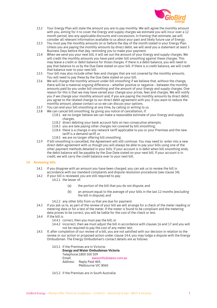

- 13.2 Your Energy Plan will state the amount you are to pay monthly. We will agree the monthly amount with you, aiming for it to cover the Energy and supply charges we estimate you will incur over a 12 month period, less any applicable discounts and concessions. In framing that estimate, we will consider all relevant information available to us about your past and likely future use of Energy.
- 13.3 You must pay the monthly amounts on or before the day of the month stated in your Energy Plan. Unless you are paying the monthly amounts by direct debit, we will send you a statement at least 5 Business Days before that day, reminding you to make your payment.
- 13.4 When we send you your next bill, it will set out the amount of your Energy and supply charges. We will credit the monthly amounts you have paid under bill smoothing against these charges. This may leave a credit or debit balance for those charges. If there is a debit balance, you will need to pay that balance to us by the Due Date stated on your bill. If there is a credit balance, we will credit that balance over to your next bill.
- 13.5 Your bill may also include other fees and charges that are not covered by the monthly amounts. You will need to pay these by the Due Date stated on your bill.
- 13.6 We will change the monthly amount under bill smoothing if we believe that, without the change, there will be a material ongoing difference – whether positive or negative – between the monthly amounts paid by you under bill smoothing and the amount of your Energy and supply charges. One reason for this is that we may have varied your change your prices, fees and charges. We will notify you if we change your monthly amount and, if you are paying the monthly amounts by direct debit, you agree to the related change to our direct debit agreement with you. If you want to reduce the monthly amount, please contact us so we can discuss your options.
- 13.7 You can end your bill smoothing at any time, by calling or writing to us.
- 13.8 We can cancel bill smoothing, by giving you notice of cancellation, if:
	- 13.8.1 we no longer believe we can make a reasonable estimate of your Energy and supply charges;
	- 13.8.2 direct debiting your bank account fails on two consecutive attempts;
	- 13.8.3 you are late paying other charges not covered by bill smoothing;
	- 13.8.4 there is a change in any network tariff applicable to you or your Premises and the new tariff is a demand tariff; or
	- 13.8.5 we are no longer offering bill smoothing.
- 13.9 If bill smoothing is cancelled, the Agreement will still continue. You may need to enter into a new direct debit agreement with us though you will always be able to pay your bills using one of the other payment methods detailed in your bills. If your account is in debit when bill smoothing ends, the debit balance will be payable by the Due Date stated on your next bill. If your account is in credit, we will carry the credit balance over to your next bill.

# **14 Reviewing bills**

- 14.1 If you disagree with an amount you have been charged, you can ask us to review the bill in accordance with our standard complaints and dispute resolution procedures (see clause 34).
- 14.2 If your bill is reviewed, you are still required to pay:
	- 14.2.1 the lesser of:
		- (a) the portion of the bill that you do not dispute; and
		- (b) an amount equal to the average of your bills in the last 12 months (excluding the bill in dispute); and
	- 14.2.2 any other bills from us that are due for payment.
- 14.3 If you ask us to, as part of the review of your bill we will arrange for a check of the meter reading or metering data or for a test of the meter. If the meter is found to be compliant and the metering data proves to be correct, you will be liable for the cost of the check or test.
- 14.4 If the bill is:
	- 14.4.1 correct, then you must pay the bill; or
	- 14.4.2 incorrect, then we must adjust the bill in accordance with clauses 16 and 17 and you will not be required to pay the cost of any meter test.
- 14.5 If, after completion of our review of a bill, you are not satisfied with our decision in relation to the review or our action or proposed action under clause 14.4, you may lodge a dispute with the Energy Ombudsman. The Energy Ombudsman's contact details are as follows:
	- 14.5.1 If the Premises are in Victoria: **Energy and Water Ombudsman Victoria**
		- Telephone:1800 500 509
		- Email: ewovinfo@ewov.com.au Address: Reply Paid 469, Melbourne VIC 8060
	- 14.5.2 if the Premises are in South Australia: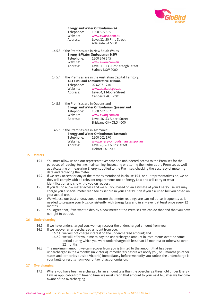

#### **Energy and Water Ombudsman SA**

| Telephone: | 1800 665 565              |
|------------|---------------------------|
| Website:   | www.ewosa.com.au          |
| Address:   | Level 11, 50 Pirie Street |
|            | Adelaide SA 5000          |
|            |                           |

# 14.5.3 if the Premises are in New South Wales:

| <b>Energy &amp; Water Ombudsman NSW</b> |  |  |  |  |  |
|-----------------------------------------|--|--|--|--|--|
| 1800 246 545                            |  |  |  |  |  |
| www.ewon.com.au                         |  |  |  |  |  |
| Level 11, 133 Castlereagh Street        |  |  |  |  |  |
| Sydney NSW 2000                         |  |  |  |  |  |
|                                         |  |  |  |  |  |

14.5.4 if the Premises are in the Australian Capital Territory:

| ACT Civil and Administrative Tribunal |                         |  |  |  |
|---------------------------------------|-------------------------|--|--|--|
| Telephone:                            | 02 6207 1740            |  |  |  |
| Website:                              | www.acat.act.gov.au     |  |  |  |
| Address:                              | Level 4. 1 Moore Street |  |  |  |
|                                       | Canberra ACT 2601       |  |  |  |
|                                       |                         |  |  |  |

# 14.5.5 if the Premises are in Queensland:

|            | <b>Energy and Water Ombudsman Queensland</b> |
|------------|----------------------------------------------|
| Telephone: | 1800 662 837                                 |
| Website:   | www.ewog.com.au                              |
| Address:   | Level 16, 53 Albert Street                   |
|            | Brisbane City OLD 4000                       |

# 14.5.6 if the Premises are in Tasmania:

**Energy and Water Ombudsman Tasmania** 1800 001 170 Website: www.energyombudsman.tas.gov.au Address: Level 6, 86 Collins Street

Hobart TAS 7000

# **15 Meters**

- 15.1 You must allow us and our representatives safe and unhindered access to the Premises for the purposes of reading, testing, maintaining, inspecting or altering the meter at the Premises as well as calculating or measuring Energy supplied to the Premises, checking the accuracy of metering data and replacing the meter.
- 15.2 If we seek access for any of the reasons mentioned in clause 15.1, or our representatives do, we or they will comply with all relevant requirements under Energy Law and will carry or wear identification and show it to you on request.
- 15.3 If you fail to allow meter access and we bill you based on an estimate of your Energy use, we may charge you a special meter read fee as set out in your Energy Plan if you ask us to bill you based on your actual use.
- 15.4 We will use our best endeavours to ensure that meter readings are carried out as frequently as is needed to prepare your bills, consistently with Energy Law and in any event at least once every 12 months.
- 15.5 You agree that, if we want to deploy a new meter at the Premises, we can do that and that you have no right to opt out.

# **16 Undercharging**

- 16.1 If we have undercharged you, we may recover the undercharged amount from you.
- 16.2 If we recover an undercharged amount from you:
	- 16.2.1 we will not charge interest on the undercharged amount; and
	- 16.2.2 we will offer you time to pay the undercharged amount in instalments over the same period during which you were undercharged (if less than 12 months), or otherwise over 12 months.
- 16.3 The maximum amount we can recover from you is limited to the amount that has been undercharged in the 4 months (in Victoria) immediately before we notify you, or 9 months (in other states and territories outside Victoria) immediately before we notify you, unless the undercharge is your fault, or results from your unlawful act or omission.

#### **17 Overcharging**

17.1 Where you have been overcharged by an amount less than the overcharge threshold under Energy Law, as applicable from time to time, we must credit that amount to your next bill after we become aware of the overcharging.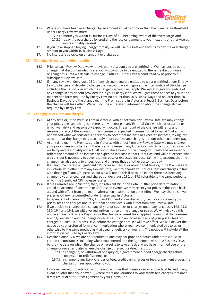

- 17.2 Where you have been overcharged by an amount equal to or more than the overcharge threshold under Energy Law, we must:
	- 17.2.1 inform you within 10 Business Days of our becoming aware of the overcharge; and
		- 17.2.2 repay the overcharge by crediting the relevant amount to your next bill, or otherwise as you reasonably request.
- 17.3 If you have stopped buying Energy from us, we will use our best endeavours to pay the overcharged amount to you within 10 Business Days.
- 17.4 No interest is payable on an amount overcharged.

#### **18 Changing discounts and other benefits**

- 18.1 Prior to each Review Date we will review any discount you are entitled to. We may decide not to change that discount in which case you will continue to be entitled to the same discount on an ongoing basis until we decide to change it, after a further review conducted by us prior to a subsequent Review Date.
- 18.2 If in any review under clause 18.1 of any discount you are entitled to we are entitled under Energy Law to change and decide to change that discount, we will give you written notice of the change including the period over which the changed discount will apply. We will also give you notice of any change in any benefit provided for in your Energy Plan. We will give these notices to you in the manner and form required by Energy Law, no earlier than 40 Business Days and no later than 20 Business Days before the change or, if the Premises are in Victoria, at least 5 Business Days before the change will take effect. We will include all relevant information about the change also as required by Energy Law.

#### **19 Changing prices, fees and charges**

- 19.1 At any time or, if the Premises are in Victoria, with effect from any Review Date, we may change your prices, fees and charges if there is any increase in any External Cost which has occurred or which we fairly and reasonably expect will occur. The amount of the change will fairly and reasonably reflect the amount of the increase or expected increase in that External Cost and will not exceed what we consider is necessary to cover that increase or expected increase, taking into account that the change may also apply to prices, fees and charges that our other customers pay.
- 19.2 At any time or, if the Premises are in Victoria, with effect from any Review Date, we may change your prices, fees and charges if there is any increase in any Other Cost which has occurred or which we fairly and reasonably expect will occur. The amount of the change will fairly and reasonably reflect the amount of the increase or expected increase in that Other Cost and will not exceed what we consider is necessary to cover that increase or expected increase, taking into account that the change may also apply to prices, fees and charges that our other customers pay.
- 19.3 If at any time there is a Significant CPI Increase then, at or around that time or, if the Premises are in Victoria, with effect from any Review Date, we may change your prices, fees and charges in line with that Significant CPI Increase but we will not do this if or to the extent there has been any change to your prices, fees and charges under clause 19.1 or 19.2 referable to the same period to which the Significant CPI Increase relates.
- 19.4 If the Premises are in Victoria, then, if a relevant Victorian Default Offer price determination is varied on account of uncertain or unforeseen events, we may re-set your prices in the same basis as, and with effect from one month after when, that variation takes effect. We may also re-set your prices as otherwise permitted under Energy Law in Victoria.
- 19.5 Independent of clause 19.1, 19.2, 19.3 and 19.4 and at our discretion, we may also review your prices, fees and charges and re-set them at new levels with effect from any Review Date.
- 19.6 If we decide to change or re-set any of your prices, fees or charges under any of clauses 19.1, 19.2, 19.3, 19.4 and 19.5, we will give you written notice of the change or re-set. We will give you this notice at least 5 Business Days before the change or re-set takes applies to you or, if the Premises are in Queensland and the change or re-set results in an increase in any of your prices, fees or charges, at least 10 Business Days before the change or re-set will take effect. We will deliver the notice by your preferred form of communication where you have communicated this to us, or otherwise by the same method as that used for delivery of your bill. The notice will include all the information required by Energy Law.
- 19.7 Despite clause 19.6, we are not required to and may not provide a notice under that clause in certain circumstances including where you entered into the Agreement within 10 Business Days before the date on which the change or re-set is to take effect, and we have informed you of the change or re-set, and also where the change or re-set is a direct result of:
	- 19.7.1 a change to, or withdrawal or expiry of, a government funded energy charge rebate, concession or relief scheme; or
	- 19.7.2 a change to any bank charges or fees, credit card charges or fees, or payment processing charges or fees applicable to you.

However, we will provide you with the notice under that clause as soon as practicable, and in any event no later than your next bill, where there are variations to your tariffs and charges that are a direct result of a tariff reassignment by your Distributor.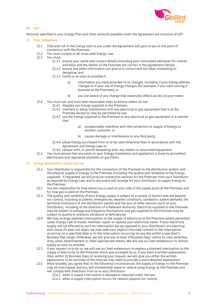

# **20 GST**

Amounts specified in your Energy Plan and other amounts payable under the Agreement are inclusive of GST.

#### **21 Your obligations**

- 21.1 Title and risk in the Energy sold to you under the Agreement will pass to you at the point of connection with the Premises.
- 21.2 You must comply at all times with Energy Law.
- 21.3 You must:
	- 21.3.1 ensure your name and contact details (including your nominated addresses for notices and bills) and the details of the Premises are correct in the Agreement Details;
	- 21.3.2 ensure any other information you give us is correct and not false, misleading or deceptive; and
	- 21.3.3 notify us as soon as possible if:
		- a) information you have provided to us changes, including if your billing address changes or if your use of Energy changes (for example, if you start running a business at the Premises); or
		- b) you are aware of any change that materially affects access to your meter.
- 21.4 You must not, and must take reasonable steps to ensure others do not:
	- 21.4.1 illegally use Energy supplied to the Premises;
		- 21.4.2 interfere or allow interference with any electrical or gas equipment that is at the Premises except as may be permitted by law;
		- 21.4.3 use the Energy supplied to the Premises or any electrical or gas equipment in a manner that:
			- a) unreasonably interferes with the connection or supply of Energy to another customer; or
			- b) causes damage or interference to any third party;
		- 21.4.4 allow Energy purchased from us to be used otherwise than in accordance with the Agreement and Energy Law; or
		- 21.4.5 tamper with, or permit tampering with, any meters or associated equipment.
- 21.5 You must ensure that any work on your Energy installation and appliances is done by accredited electricians and registered plumbers or gas fitters.

#### **22 Energy distribution, supply and use**

- 22.1 Your Distributor is responsible for the connection of the Premises to the distribution system, and the physical supply of Energy to the Premises (including the quality and reliability of the Energy supplied). If requested, we will procure connection services for the Premises from your Distributor as required by Energy Law, and in any event will arrange for your Distributor to supply Energy to the Premises.
- 22.2 You are responsible for how electricity is used on your side of the supply point at the Premises and for how gas is used on the Premises.
- 22.3 The quality and reliability of your Energy supply is subject to a variety of factors that are beyond our control, including accidents, emergencies, weather conditions, vandalism, system demand, the technical limitations of the distribution system and the acts of other persons (such as your Distributor), including at the direction of a Relevant Authority. Electricity supplied to the Premises may be subject to voltage and frequency fluctuations and gas supplied to the Premises may be subject to quality or pressure variations or deficiencies.
- 22.4 We may arrange planned interruptions to the supply of electricity to the Premises where permitted under Energy Law to install, maintain, repair or replace your electricity meter. If your electricity supply will be affected by such an interruption we (as opposed to your Distributor) are planning and clause 25 does not apply, we may seek your explicit informed consent to the interruption occurring on a specified date or to the interruption occurring on any day within a specified 5 Business Day range. Otherwise, we will give you at least 4 Business Days' notice by mail, letterbox drop, press advertisement or other appropriate means. We will use our best endeavours to restore supply as soon as possible.
- 22.5 If you request us to do so, we will use our best endeavours to explain a planned interruption to the supply of electricity to the Premises which was arranged by us. If you want a written explanation, then, within 10 Business Days of receiving your request, we will give you either the written explanation or an estimate of the time we may need to provide a more detailed explanation.
- 22.6 More broadly, you agree that, in the following circumstances, the supply of Energy to the Premises may be interrupted, and you will immediately cease or reduce using Energy at the Premises and will comply with directions from us or your Distributor:
	- 22.6.1 when a supply interruption is allowed or required under the law;
	- 22.6.2 when a supply interruption occurs for reasons beyond our control: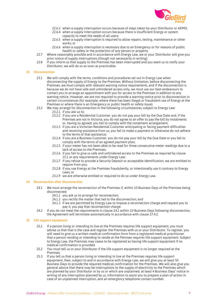

- 22.6.3 when a supply interruption occurs because of steps taken by your Distributor or AEMO;
- 22.6.4 when a supply interruption occurs because there is insufficient Energy or system capacity to meet the needs of all users;
- 22.6.5 when a supply interruption is required to allow repairs, testing, maintenance or other works; or
- 22.6.6 when a supply interruption is necessary due to an Emergency or for reasons of public health or safety or the protection of any person or property.
- 22.7 Where reasonably possible and in accordance with Energy Law, we or your Distributor will give you prior notice of supply interruptions (though not necessarily in writing).
- 22.8 If you inform us that supply to the Premises has been interrupted and you want us to notify your Distributor, we will do so as soon as practicable.

# **23 Disconnection**

- 23.1 We will comply with the terms, conditions and procedures set out in Energy Law when disconnecting the supply of Energy to the Premises. Without limitation, before disconnecting the Premises, we must comply with relevant warning notice requirements, and if the disconnection is because we do not have safe and unhindered access only, we must use our best endeavours to contact you to arrange an appointment with you for access to the Premises in addition to any warning notice. However, we are not required to provide a warning notice prior to disconnection in certain circumstances (for example, where there has been illegal or fraudulent use of Energy at the Premises or where there is an Emergency or public health or safety issue).
- 23.2 We may arrange for disconnection in the following circumstances, subject to Energy Law: 23.2.1 if you ask us to;
	- 23.2.2 if you are a Residential Customer, you do not pay your bill by the Due Date and, if the Premises are not in Victoria, you do not agree to an offer to pay the bill by instalments or, having so agreed, you fail to comply with the instalment arrangement;
	- 23.2.3 if you are a Victorian Residential Customer anticipating or facing payment difficulties and receiving assistance from us, you fail to make a payment or otherwise do not adhere to the terms of that assistance;
	- 23.2.4 if you are a Business Customer, you do not pay your bill by the Due Date or you fail to comply with the terms of an agreed payment plan;
	- 23.2.5 if your meter has not been able to be read for three consecutive meter readings due to a lack of access to the Premises;
	- 23.2.6 if you fail to give us safe and unhindered access to the Premises as required by clause 15.1 or any requirements under Energy Law;
	- 23.2.7 if you refuse to provide a Security Deposit or acceptable identification, we are entitled to require from you;
	- 23.2.8 if you use Energy at the Premises fraudulently, or intentionally use it contrary to Energy Laws; or
	- 23.2.9 we are otherwise entitled or required to do so under Energy Law.

# **24 Reconnection after disconnection**

- 24.1 We must arrange the reconnection of the Premises if, within 10 Business Days of the Premises being disconnected:
	- 24.1.1 you ask us to arrange for reconnection;
	- 24.1.2 you rectify the matter that led to the disconnection; and
	- 24.1.3 if we are permitted by Energy Law to impose a reconnection charge and request you to pay it, you pay that reconnection charge.
- 24.2 If you do not meet the requirements in clause 24.1 within 10 Business Days following disconnection, the Agreement will terminate automatically in accordance with clause 27.4.2.

# **25 Life support equipment**

- 25.1 If a person living or intending to live at the Premises requires life support equipment, you must advise us that that is the case and register the Premises with us or your Distributor. To register, you will need to give us a written medical confirmation form from a registered medical practitioner that a person residing or intending to reside at the Pemises requires life support equipment. Subject to Energy Law, the Premises may cease to be registered as having life support equipment if no medical confirmation is provided.
- 25.2 You must tell us or your Distributor if the life support equipment is no longer required at the Premises.
- 25.3 If you tell us that a person living or intending to live at the Premises requires life support equipment, then, subject to and in accordance with Energy Law, we will give you at least 50 Business Days to provide the required medical confirmation for the Premises. We will also give you general advice that there may be interruptions to the supply of electricity to the Premises which are planned by your Distributor or by us or which are unplanned, at least 4 Business Days' notice in writing of any interruption planned by us, information to assist you to prepare a plan of action in case of an unplanned interruption, and an emergency telephone contact number.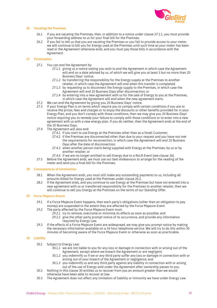

# **26 Vacating the Premises**

- 26.1 If you are vacating the Premises, then, in addition to a notice under clause 27.1.1, you must provide your forwarding address to us for your final bill for the Premises.
- 26.2 If you fail to tell us that you are vacating the Premises or you fail to provide access to your meter, we will continue to bill you for Energy used at the Premises until such time as your meter has been read or the Agreement otherwise ends, and you must pay those bills in accordance with the Agreement.

# **27 Termination**

- 27.1 You can end the Agreement by:
	- 27.1.1 giving us a notice stating you wish to end the Agreement in which case the Agreement will end on a date advised by us, of which we will give you at least 5 but no more than 20 Business Days' notice;
	- 27.1.2 by transferring the responsibility for the Energy supply at the Premises to another retailer, in which case the Agreement will end when this transfer is completed;
	- 27.1.3 by requesting us to disconnect the Energy supply to the Premises, in which case the Agreement will end 10 Business Days after disconnection; or
	- 27.1.4 by entering into a new agreement with us for the sale of Energy to you at the Premises, in which case the Agreement will end when the new agreement starts.
- 27.2 We can end the Agreement by giving you 20 Business Days' notice.<br>27.3 If your Energy Plan is on terms which require you to comply with ce
- 27.3 If your Energy Plan is on terms which require you to comply with certain conditions if you are to receive the prices, fees and charges or to enjoy the discounts or other benefits provided for in your Energy Plan, and you don't comply with those conditions, then we may give you 20 Business Days' notice requiring you to remedy your failure to comply with those conditions or to enter into a new agreement with us with a new energy plan. If you do neither, then the Agreement ends at the end of the 20 Business Days.
- 27.4 The Agreement will also end:
	- 27.4.1 if you start to use Energy at the Premises other than as a Small Customer;
	- 27.4.2 if the Premises are disconnected other than due to your request and you have not met the requirements for reconnection, in which case the Agreement will end 10 Business Days after the date of disconnection;
	- 27.4.3 when another person starts being supplied with Energy at the Premises, by us or by another retailer; or
	- 27.4.4 if we are no longer entitled to sell Energy due to a RoLR Event (see clause 36).
- 27.5 Before the Agreement ends, we must use our best endeavours to arrange for the reading of the meter and send you a final bill for the Premises.

# **28 Consequences of termination**

- 28.1 When the Agreement ends, you must still make any outstanding payments to us, including all amounts billed for Energy used at the Premises under clause 26.2.
- 28.2 If the Agreement ends, and you continue to use Energy at the Premises but have not entered into a new agreement with us or transferred responsibility for the Premises to another retailer, then we will continue to sell you Energy at the Premises on the terms of our Standing Offer.

# **29 Force Majeure Events**

- 29.1 If a Force Majeure Event happens, then each party's obligations (other than an obligation to pay money) are suspended to the extent they are affected by the Force Majeure Event.
- 29.2 The party affected by the Force Majeure Event must:
	- 29.2.1 try to remove, overcome or minimise its effects as soon as possible; and 29.2.2 give the other party prompt notice of its occurrence, and provide any information required by Energy Law.
- 29.3 If the effects of a Force Majeure Event are widespread, we may give you prompt notice by making the necessary information available on a 24 hour telephone service. We will try to do this within 30 minutes of becoming aware of the Force Majeure Event or otherwise as soon as practicable.

# **30 Liability**

- 30.1 Subject to Energy Law:
	- 30.1.1 we are not liable to you for any loss or damage in connection with or arising out of the Agreement, except where we breach the Agreement or are negligent;
	- 30.1.2 you indemnify us if we or any third party suffer any loss or damage in connection with or arising out of your breach of the Agreement or negligence; and
	- 30.1.3 you indemnify us and any third party against any liability in connection with or arising out of the use of Energy sold under the Agreement after ownership passes to you.
- 30.2 Nothing in this clause 30 entitles us to recover from you an amount greater than we would otherwise have been able to recover at law.
- 30.3 The Agreement does not affect any limitation of liability or immunity we have under Energy Law.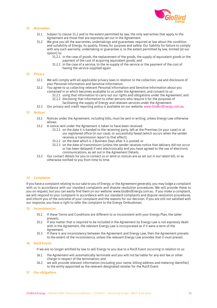

# **31 Warranties**

- 31.1 Subject to clause 31.2 and to the extent permitted by law, the only warranties that apply to the Agreement are those that are expressly set out in the Agreement.
- 31.2 We give you all the warranties, undertakings and guarantees required at law about the condition and suitability of Energy, its quality, fitness for purpose and safety. Our liability for failure to comply with any such warranty, undertaking or guarantee is, to the extent permitted by law, limited (at our option) to:
	- 31.2.1 in the case of goods, the replacement of the goods, the supply of equivalent goods or the payment of the cost of acquiring equivalent goods; and
	- 31.2.2 in the case of a service, to the re-supply of the service or the payment of the cost of having the service supplied again.

# **32 Privacy**

- 32.1 We will comply with all applicable privacy laws in relation to the collection, use and disclosure of your Personal Information and Sensitive Information.
- 32.2 You agree to us collecting relevant Personal Information and Sensitive Information about you contained in or which becomes available to us under the Agreement, and consent to us:
	- 32.2.1 using that information to carry out our rights and obligations under the Agreement; and 32.2.2 disclosing that information to other persons who require it for the purposes of
		- facilitating the supply of Energy and relevant services under the Agreement.
- 32.3 Our privacy and credit reporting policy is available on our website: www.GloBirdEnergy.com.au.

#### **33 Notices**

- 33.1 Notices under the Agreement, including bills, must be sent in writing, unless Energy Law otherwise allows.
- 33.2 A notice sent under the Agreement is taken to have been received:
	- 33.2.1 on the date it is handed to the receiving party, left at the Premises (in your case) or at our registered office (in our case), or successfully faxed (which occurs when the sender receives a transmission report to that effect);
	- 33.2.2 on the date which is 3 Business Days after it is posted; or
	- 33.2.3 on the date of transmission (unless the sender receives notice that delivery did not occur or has been delayed) if sent electronically and you have agreed to the use of electronic communications, as set out in the Agreement Details.
- 33.3 Our contact details for you to contact us or send us notices are as set out in our latest bill, or as otherwise notified to you from time to time.

# **34 Complaints**

If you have a complaint relating to our sale to you of Energy, or the Agreement generally, you may lodge a complaint with us in accordance with our standard complaints and dispute resolution procedures. We will provide these to you on request, but you can easily find them on our website: www.GloBirdEnergy.com.au. If you make a complaint, we will respond to your complaint in accordance with our standard complaints and dispute resolution procedures, and inform you of the outcome of your complaint and the reasons for our decision. If you are still not satisfied with our response, you have a right to refer the complaint to the Energy Ombudsman.

#### **35 Inconsistencies**

- 35.1 If these Terms and Conditions are different to or inconsistent with your Energy Plan, the latter prevails.
- 35.2 If any matter that is required to be included in the Agreement by Energy Law is not expressly dealt with in the Agreement, the relevant Energy Law is incorporated as if it were a term of the Agreement.
- 35.3 If there is any inconsistency between the Agreement and Energy Law, then the Agreement prevails to the extent of the inconsistency, unless the relevant Energy Law provides that it must prevail.

#### **36 RoLR Events**

If we are no longer entitled by law to sell Energy to you due to a RoLR Event occurring in relation to us:

- 36.1 the Agreement will automatically terminate and you will not be liable for any exit fee or other charge in respect of the termination; and
- 36.2 we will provide relevant information (including your name, billing address and metering identifier) to the entity appointed as the relevant designated retailer for the RoLR Event.

#### **37 Our obligations**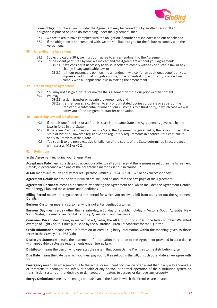

Some obligations placed on us under the Agreement may be carried out by another person. If an obligation is placed on us to do something under the Agreement, then:

- 37.1 we are taken to have complied with the obligation if another person does it on our behalf; and
- 37.2 if the obligation is not complied with, we are still liable to you for the failure to comply with the Agreement.

#### **38 Amending the Agreement**

- 38.1 Subject to clause 38.2, we must both agree to any amendment to the Agreement.
- 38.2 To the extent permitted by law, we may amend the Agreement without your agreement:
	- 38.2.1 if we consider it necessary to do so in order to comply with any applicable law or any change in any applicable law; or
	- 38.2.2 if, in our reasonable opinion, the amendment will confer an additional benefit on you, impose an additional obligation on us, or be of neutral impact on you, provided we comply with all applicable laws in making the amendment.

# **39 Transferring the Agreement**

- 39.1 You may not assign, transfer or novate the Agreement without our prior written consent.
- 39.2 We may:
	- 39.2.1 assign, transfer or novate the Agreement; and
		- 39.2.2 transfer you as a customer, to any of our related bodies corporate or as part of the transfer of a substantial number of our customers to a third party, in which case we will notify you of the assignment, transfer or novation.

#### **40 Governing law and jurisdiction**

- 40.1 If there is one Premises or all Premises are in the same State, the Agreement is governed by the laws in force in that State.
- 40.2 If there are Premises in more than one State, the Agreement is governed by the laws in force in the State of Victoria. However, legislative and regulatory requirements in another State continue to apply to Premises in that State.
- 40.3 You submit to the non-exclusive jurisdiction of the courts of the State determined in accordance with clauses 40.1 or 40.2.

#### **41 Definitions**

In the Agreement including your Energy Plan:

**Acceptance Date** means the date you accept our offer to sell you Energy at the Premises as set out in the Agreement Details, in accordance with one of the acceptance methods set out in clause 3.2.

**AEMO** means Australian Energy Market Operator Limited ABN 94 072 010 327 or any successor body.

**Agreement Details** means the details which are included on and from the first page of the Agreement.

**Agreement Document** means a document evidencing the Agreement and which includes the Agreement Details, your Energy Plan and these Terms and Conditions.

**Billing Period** means the regular recurrent period for which you receive a bill from us, as set out the Agreement Details.

**Business Customer** means a customer who is not a Residential Customer;

**Business Day** means a day other than a Saturday, a Sunday or a public holiday in Victoria, South Australia, New South Wales, the Australian Capital Territory, Queensland and Tasmania.

**Consumer Price Index** means, in respect of a Quarter, the All Groups Consumer Price Index Number: Weighted Average of Eight Capital Cities published by the Australian Bureau of Statistics for that Quarter.

**Credit Information** means credit information or credit eligibility information within the meaning given to those terms in the *Privacy Act* 1988 (Cth).

**Disclosure Statement** means the statement of information in relation to the Agreement provided in accordance with applicable disclosure requirements under Energy Law.

**Distributor** means the person who operates the system that connects the Premises to the distribution system.

**Due Date** means the date by which you must pay your bill as set out in the bill, or such other date as we agree with you.

**Emergency** means an emergency due to the actual or imminent occurrence of an event that in any way endangers or threatens to endanger the safety or health of any person, or normal operation of the distribution system or transmission system, or that destroys or damages, or threatens to destroy or damage, any property.

**Energy Ombudsman** means the energy ombudsman in the State in which the Premises are located.